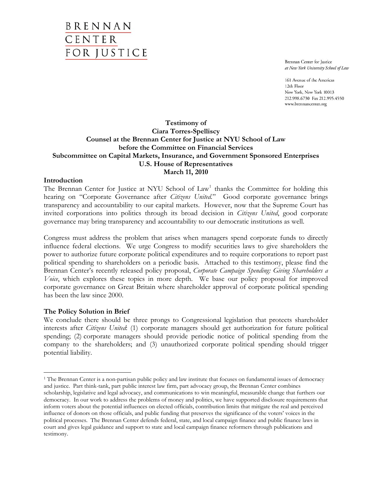Brennan Center for Justice at New York University School of Law

161 Avenue of the Americas 12th Floor New York, New York 10013 212.998.6730 Fax 212.995.4550 www.brennancenter.org

## **Testimony of Ciara Torres-Spelliscy Counsel at the Brennan Center for Justice at NYU School of Law before the Committee on Financial Services Subcommittee on Capital Markets, Insurance, and Government Sponsored Enterprises U.S. House of Representatives March 11, 2010**

#### **Introduction**

The Brennan Center for Justice at NYU School of Law<sup>[1](#page-0-0)</sup> thanks the Committee for holding this hearing on "Corporate Governance after *Citizens United.*" Good corporate governance brings transparency and accountability to our capital markets. However, now that the Supreme Court has invited corporations into politics through its broad decision in *Citizens United*, good corporate governance may bring transparency and accountability to our democratic institutions as well.

Congress must address the problem that arises when managers spend corporate funds to directly influence federal elections. We urge Congress to modify securities laws to give shareholders the power to authorize future corporate political expenditures and to require corporations to report past political spending to shareholders on a periodic basis. Attached to this testimony, please find the Brennan Center's recently released policy proposal, *Corporate Campaign Spending: Giving Shareholders a Voice*, which explores these topics in more depth. We base our policy proposal for improved corporate governance on Great Britain where shareholder approval of corporate political spending has been the law since 2000.

#### **The Policy Solution in Brief**

We conclude there should be three prongs to Congressional legislation that protects shareholder interests after *Citizens United*: (1) corporate managers should get authorization for future political spending; (2) corporate managers should provide periodic notice of political spending from the company to the shareholders; and (3) unauthorized corporate political spending should trigger potential liability.

<span id="page-0-0"></span><sup>1</sup> <sup>1</sup> The Brennan Center is a non-partisan public policy and law institute that focuses on fundamental issues of democracy and justice. Part think-tank, part public interest law firm, part advocacy group, the Brennan Center combines scholarship, legislative and legal advocacy, and communications to win meaningful, measurable change that furthers our democracy. In our work to address the problems of money and politics, we have supported disclosure requirements that inform voters about the potential influences on elected officials, contribution limits that mitigate the real and perceived influence of donors on those officials, and public funding that preserves the significance of the voters' voices in the political processes. The Brennan Center defends federal, state, and local campaign finance and public finance laws in court and gives legal guidance and support to state and local campaign finance reformers through publications and testimony.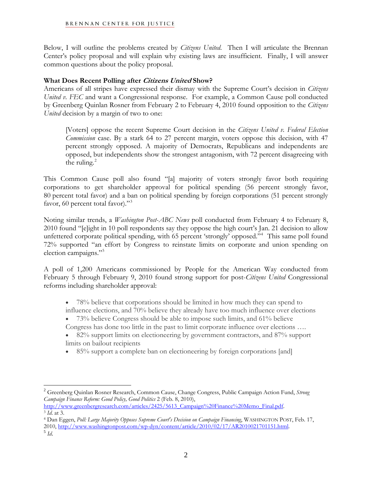Below, I will outline the problems created by *Citizens United*. Then I will articulate the Brennan Center's policy proposal and will explain why existing laws are insufficient. Finally, I will answer common questions about the policy proposal.

## **What Does Recent Polling after Citizens United Show?**

Americans of all stripes have expressed their dismay with the Supreme Court's decision in *Citizens United v. FEC* and want a Congressional response. For example, a Common Cause poll conducted by Greenberg Quinlan Rosner from February 2 to February 4, 2010 found opposition to the *Citizens United* decision by a margin of two to one:

[Voters] oppose the recent Supreme Court decision in the *Citizens United v. Federal Election Commission* case. By a stark 64 to 27 percent margin, voters oppose this decision, with 47 percent strongly opposed. A majority of Democrats, Republicans and independents are opposed, but independents show the strongest antagonism, with 72 percent disagreeing with the ruling. $^{2}$  $^{2}$  $^{2}$ 

This Common Cause poll also found "[a] majority of voters strongly favor both requiring corporations to get shareholder approval for political spending (56 percent strongly favor, 80 percent total favor) and a ban on political spending by foreign corporations (51 percent strongly favor, 60 percent total favor)."[3](#page-1-1)

Noting similar trends, a *Washington Post*-*ABC News* poll conducted from February 4 to February 8, 2010 found "[e]ight in 10 poll respondents say they oppose the high court's Jan. 21 decision to allow unfettered corporate political spending, with 65 percent 'strongly' opposed."<sup>[4](#page-1-2)</sup> This same poll found 72% supported "an effort by Congress to reinstate limits on corporate and union spending on election campaigns."<sup>5</sup>

A poll of 1,200 Americans commissioned by People for the American Way conducted from February 5 through February 9, 2010 found strong support for post-*Citizens United* Congressional reforms including shareholder approval:

- 78% believe that corporations should be limited in how much they can spend to influence elections, and 70% believe they already have too much influence over elections
- $\bullet$  73% believe Congress should be able to impose such limits, and 61% believe Congress has done too little in the past to limit corporate influence over elections ….
- 82% support limits on electioneering by government contractors, and 87% support limits on bailout recipients
- 85% support a complete ban on electioneering by foreign corporations [and]

<span id="page-1-0"></span><sup>2</sup> Greenberg Quinlan Rosner Research, Common Cause, Change Congress, Public Campaign Action Fund, *Strong Campaign Finance Reform: Good Policy, Good Politics* 2 (Feb. 8, 2010),

<span id="page-1-2"></span><span id="page-1-1"></span><sup>&</sup>lt;sup>3</sup> Id. at 3.<br><sup>4</sup> Dan Eggen, Poll: Large Majority Opposes Supreme Court's Decision on Campaign Financing, WASHINGTON POST, Feb. 17, 2010, [http://www.washingtonpost.com/wp-dyn/content/article/2010/02/17/AR2010021701151.html.](http://www.washingtonpost.com/wp-dyn/content/article/2010/02/17/AR2010021701151.html) <sup>5</sup> *Id*.

<span id="page-1-3"></span>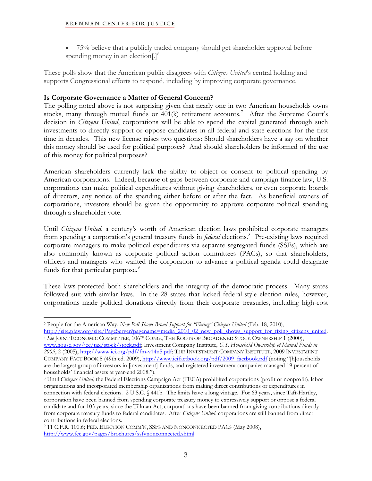• 75% believe that a publicly traded company should get shareholder approval before spending money in an election[.]<sup>[6](#page-2-0)</sup>

These polls show that the American public disagrees with *Citizens United*'s central holding and supports Congressional efforts to respond, including by improving corporate governance.

# **Is Corporate Governance a Matter of General Concern?**

The polling noted above is not surprising given that nearly one in two American households owns stocks, many through mutual funds or  $401(k)$  retirement accounts.<sup>[7](#page-2-1)</sup> After the Supreme Court's decision in *Citizens United*, corporations will be able to spend the capital generated through such investments to directly support or oppose candidates in all federal and state elections for the first time in decades. This new license raises two questions: Should shareholders have a say on whether this money should be used for political purposes? And should shareholders be informed of the use of this money for political purposes?

American shareholders currently lack the ability to object or consent to political spending by American corporations. Indeed, because of gaps between corporate and campaign finance law, U.S. corporations can make political expenditures without giving shareholders, or even corporate boards of directors, any notice of the spending either before or after the fact. As beneficial owners of corporations, investors should be given the opportunity to approve corporate political spending through a shareholder vote.

Until *Citizens United*, a century's worth of American election laws prohibited corporate managers from spending a corporation's general treasury funds in *federal* elections.<sup>[8](#page-2-2)</sup> Pre-existing laws required corporate managers to make political expenditures via separate segregated funds (SSFs), which are also commonly known as corporate political action committees (PACs), so that shareholders, officers and managers who wanted the corporation to advance a political agenda could designate funds for that particular purpose.<sup>[9](#page-2-3)</sup>

These laws protected both shareholders and the integrity of the democratic process. Many states followed suit with similar laws. In the 28 states that lacked federal-style election rules, however, corporations made political donations directly from their corporate treasuries, including high-cost

<span id="page-2-1"></span><span id="page-2-0"></span><sup>6</sup> People for the American Way, *New Poll Shows Broad Support for "Fixing" Citizens United* (Feb. 18, 2010),<br>http://site.pfaw.org/site/PageServer?pagename=media\_2010\_02\_new\_poll\_shows\_support\_for\_fixing\_citizens\_united. <sup>7</sup> See JOINT ECONOMIC COMMITTEE, 106<sup>TH</sup> CONG., THE ROOTS OF BROADENED STOCK OWNERSHIP 1 (2000), [www.house.gov/jec/tax/stock/stock.pdf](http://www.house.gov/jec/tax/stock/stock.pdf); Investment Company Institute, *U.S. Household Ownership of Mutual Funds in 2005*, 2 (2005), [http://www.ici.org/pdf/fm-v14n5.pdf;](http://www.ici.org/pdf/fm-v14n5.pdf) THE INVESTMENT COMPANY INSTITUTE, 2009 INVESTMENT COMPANY FACT BOOK 8 (49th ed. 2009), [http://www.icifactbook.org/pdf/2009\\_factbook.pdf](http://www.icifactbook.org/pdf/2009_factbook.pdf) (noting "[h]ouseholds are the largest group of investors in [investment] funds, and registered investment companies managed 19 percent of households' financial assets at year-end 2008.").

<span id="page-2-2"></span>8 Until *Citizens United*, the Federal Elections Campaign Act (FECA) prohibited corporations (profit or nonprofit), labor organizations and incorporated membership organizations from making direct contributions or expenditures in connection with federal elections. [2 U.S.C. § 441b](http://frwebgate.access.gpo.gov/cgi-bin/getdoc.cgi?dbname=browse_usc&docid=Cite%3A+2USC441). The limits have a long vintage. For 63 years, since Taft-Hartley, corporation have been banned from spending corporate treasury money to expressively support or oppose a federal candidate and for 103 years, since the Tillman Act, corporations have been banned from giving contributions directly from corporate treasury funds to federal candidates. After *Citizens United*, corporations are still banned from direct contributions in federal elections.

<span id="page-2-3"></span>9 11 C.F.R. 100.6; FED. ELECTION COMM'N, SSFS AND NONCONNECTED PACS (May 2008), <http://www.fec.gov/pages/brochures/ssfvnonconnected.shtml>.

 $\overline{a}$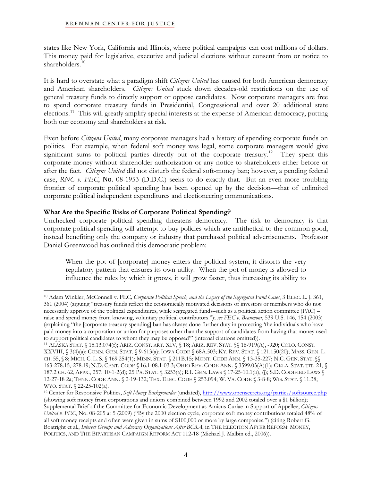states like New York, California and Illinois, where political campaigns can cost millions of dollars. This money paid for legislative, executive and judicial elections without consent from or notice to shareholders.<sup>[10](#page-3-0)</sup>

It is hard to overstate what a paradigm shift *Citizens United* has caused for both American democracy and American shareholders. *Citizens United* stuck down decades-old restrictions on the use of general treasury funds to directly support or oppose candidates. Now corporate managers are free to spend corporate treasury funds in Presidential, Congressional and over 20 additional state elections.<sup>[11](#page-3-1)</sup> This will greatly amplify special interests at the expense of American democracy, putting both our economy and shareholders at risk.

Even before *Citizens United*, many corporate managers had a history of spending corporate funds on politics. For example, when federal soft money was legal, some corporate managers would give significant sums to political parties directly out of the corporate treasury.<sup>[12](#page-3-2)</sup> They spent this corporate money without shareholder authorization or any notice to shareholders either before or after the fact. *Citizens United* did not disturb the federal soft-money ban; however, a pending federal case, *RNC v. FEC*, No. 08-1953 (D.D.C.) seeks to do exactly that. But an even more troubling frontier of corporate political spending has been opened up by the decision—that of unlimited corporate political independent expenditures and electioneering communications.

## **What Are the Specific Risks of Corporate Political Spending?**

 $\overline{a}$ 

Unchecked corporate political spending threatens democracy. The risk to democracy is that corporate political spending will attempt to buy policies which are antithetical to the common good, instead benefiting only the company or industry that purchased political advertisements. Professor Daniel Greenwood has outlined this democratic problem:

When the pot of [corporate] money enters the political system, it distorts the very regulatory pattern that ensures its own utility. When the pot of money is allowed to influence the rules by which it grows, it will grow faster, thus increasing its ability to

<span id="page-3-0"></span><sup>10</sup> Adam Winkler, McConnell v. FEC*, Corporate Political Speech, and the Legacy of the Segregated Fund Cases*, 3 ELEC. L. J. 361, 361 (2004) (arguing "treasury funds reflect the economically motivated decisions of investors or members who do not necessarily approve of the political expenditures, while segregated funds–such as a political action committee (PAC) – raise and spend money from knowing, voluntary political contributors."); *see FEC v. Beaumont*, 539 U.S. 146, 154 (2003) (explaining "the [corporate treasury spending] ban has always done further duty in protecting 'the individuals who have paid money into a corporation or union for purposes other than the support of candidates from having that money used to support political candidates to whom they may be opposed" (internal citations omitted)).

<span id="page-3-1"></span><sup>&</sup>lt;sup>11</sup> ALASKA STAT. § 15.13.074(f); ARIZ. CONST. ART. XIV, § 18; ARIZ. REV. STAT. §§ 16-919(A), -920; COLO. CONST. XXVIII, § 3(4)(a); CONN. GEN. STAT. § 9-613(a); IOWA CODE § 68A.503; KY. REV. STAT. § 121.150(20); MASS. GEN. L. CH. 55, § 8; MICH. C. L. S. § 169.254(1); MINN. STAT. § 211B.15; MONT. CODE ANN. § 13-35-227; N.C. GEN. STAT. §§ 163-278.15,-278.19; N.D. CENT. CODE § 16.1-08.1-03.3; OHIO REV. CODE ANN. § 3599.03(A)(1); OKLA. STAT. TIT. 21, § 187.2 CH. 62, APPX., 257: 10-1-2(d); 25 PA. STAT. § 3253(a); R.I. GEN. LAWS § 17-25-10.1(h), (j); S.D. CODIFIED LAWS § 12-27-18 2a; TENN. CODE ANN. § 2-19-132; TEX. ELEC. CODE § 253.094; W. VA. CODE § 3-8-8; WIS. STAT. § 11.38; WYO. STAT. § 22-25-102(a).<br><sup>12</sup> Center for Responsive Politics, *Soft Money Backgrounder* (undated), <http://www.opensecrets.org/parties/softsource.php>

<span id="page-3-2"></span><sup>(</sup>showing soft money from corporations and unions combined between 1992 and 2002 totaled over a \$1 billion); Supplemental Brief of the Committee for Economic Development as Amicus Curiae in Support of Appellee, *Citizens United v. FEC*, No. 08-205 at 5 (2009) ("By the 2000 election cycle, corporate soft money contributions totaled 48% of all soft money receipts and often were given in sums of \$100,000 or more by large companies.") (citing Robert G. Boatright et al., *Interest Groups and Advocacy Organizations After BCRA*, in THE ELECTION AFTER REFORM: MONEY, POLITICS, AND THE BIPARTISAN CAMPAIGN REFORM ACT 112-18 (Michael J. Malbin ed., 2006)).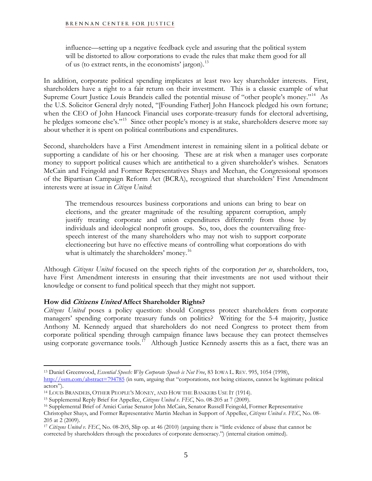influence—setting up a negative feedback cycle and assuring that the political system will be distorted to allow corporations to evade the rules that make them good for all of us (to extract rents, in the economists' jargon).<sup>[13](#page-4-0)</sup>

In addition, corporate political spending implicates at least two key shareholder interests. First, shareholders have a right to a fair return on their investment. This is a classic example of what Supreme Court Justice Louis Brandeis called the potential misuse of "other people's money."<sup>[14](#page-4-1)</sup> As the U.S. Solicitor General dryly noted, "[Founding Father] John Hancock pledged his own fortune; when the CEO of John Hancock Financial uses corporate-treasury funds for electoral advertising, he pledges someone else's."<sup>[15](#page-4-2)</sup> Since other people's money is at stake, shareholders deserve more say about whether it is spent on political contributions and expenditures.

Second, shareholders have a First Amendment interest in remaining silent in a political debate or supporting a candidate of his or her choosing. These are at risk when a manager uses corporate money to support political causes which are antithetical to a given shareholder's wishes. Senators McCain and Feingold and Former Representatives Shays and Meehan, the Congressional sponsors of the Bipartisan Campaign Reform Act (BCRA), recognized that shareholders' First Amendment interests were at issue in *Citizen United*:

The tremendous resources business corporations and unions can bring to bear on elections, and the greater magnitude of the resulting apparent corruption, amply justify treating corporate and union expenditures differently from those by individuals and ideological nonprofit groups. So, too, does the countervailing freespeech interest of the many shareholders who may not wish to support corporate electioneering but have no effective means of controlling what corporations do with what is ultimately the shareholders' money.<sup>[16](#page-4-3)</sup>

Although *Citizens United* focused on the speech rights of the corporation *per se*, shareholders, too, have First Amendment interests in ensuring that their investments are not used without their knowledge or consent to fund political speech that they might not support.

## **How did Citizens United Affect Shareholder Rights?**

 $\overline{a}$ 

*Citizens United* poses a policy question: should Congress protect shareholders from corporate managers' spending corporate treasury funds on politics? Writing for the 5-4 majority, Justice Anthony M. Kennedy argued that shareholders do not need Congress to protect them from corporate political spending through campaign finance laws because they can protect themselves using corporate governance tools.<sup>[17](#page-4-4)</sup> Although Justice Kennedy asserts this as a fact, there was an

<span id="page-4-0"></span><sup>13</sup> Daniel Greenwood, *Essential Speech: Why Corporate Speech is Not Free*, 83 IOWA L. REV. 995, 1054 (1998),

<http://ssrn.com/abstract=794785> (in sum, arguing that "corporations, not being citizens, cannot be legitimate political actors").

<span id="page-4-1"></span><sup>14</sup> LOUIS BRANDEIS, OTHER PEOPLE'S MONEY, AND HOW THE BANKERS USE IT (1914).

<span id="page-4-3"></span><span id="page-4-2"></span><sup>&</sup>lt;sup>15</sup> Supplemental Reply Brief for Appellee, *Citizens United v. FEC*, No. 08-205 at 7 (2009).<br><sup>16</sup> Supplemental Brief of Amici Curiae Senator John McCain, Senator Russell Feingold, Former Representative Christopher Shays, and Former Representative Martin Meehan in Support of Appellee, *Citizens United v. FEC*, No. 08- 205 at 2 (2009).

<span id="page-4-4"></span><sup>17</sup> *Citizens United v. FEC*, No. 08-205, Slip op. at 46 (2010) (arguing there is "little evidence of abuse that cannot be corrected by shareholders through the procedures of corporate democracy.") (internal citation omitted).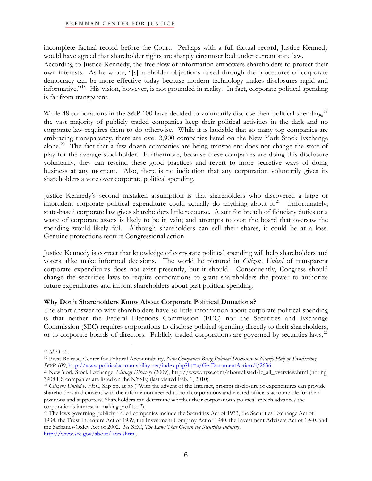incomplete factual record before the Court. Perhaps with a full factual record, Justice Kennedy would have agreed that shareholder rights are sharply circumscribed under current state law. According to Justice Kennedy, the free flow of information empowers shareholders to protect their own interests. As he wrote, "[s]hareholder objections raised through the procedures of corporate democracy can be more effective today because modern technology makes disclosures rapid and informative."[18](#page-5-0) His vision, however, is not grounded in reality. In fact, corporate political spending is far from transparent.

While 48 corporations in the S&P 100 have decided to voluntarily disclose their political spending,<sup>[19](#page-5-1)</sup> the vast majority of publicly traded companies keep their political activities in the dark and no corporate law requires them to do otherwise. While it is laudable that so many top companies are embracing transparency, there are over 3,900 companies listed on the New York Stock Exchange alone.<sup>[20](#page-5-2)</sup> The fact that a few dozen companies are being transparent does not change the state of play for the average stockholder. Furthermore, because these companies are doing this disclosure voluntarily, they can rescind these good practices and revert to more secretive ways of doing business at any moment. Also, there is no indication that any corporation voluntarily gives its shareholders a vote over corporate political spending.

Justice Kennedy's second mistaken assumption is that shareholders who discovered a large or imprudent corporate political expenditure could actually do anything about it.<sup>[21](#page-5-3)</sup> Unfortunately, state-based corporate law gives shareholders little recourse. A suit for breach of fiduciary duties or a waste of corporate assets is likely to be in vain; and attempts to oust the board that oversaw the spending would likely fail. Although shareholders can sell their shares, it could be at a loss. Genuine protections require Congressional action.

Justice Kennedy is correct that knowledge of corporate political spending will help shareholders and voters alike make informed decisions. The world he pictured in *Citizens United* of transparent corporate expenditures does not exist presently, but it should. Consequently, Congress should change the securities laws to require corporations to grant shareholders the power to authorize future expenditures and inform shareholders about past political spending.

## **Why Don't Shareholders Know About Corporate Political Donations?**

The short answer to why shareholders have so little information about corporate political spending is that neither the Federal Elections Commission (FEC) nor the Securities and Exchange Commission (SEC) requires corporations to disclose political spending directly to their shareholders, or to corporate boards of directors. Publicly traded corporations are governed by securities laws,<sup>[22](#page-5-4)</sup>

<sup>1</sup> 

<span id="page-5-1"></span><span id="page-5-0"></span><sup>&</sup>lt;sup>18</sup> *Id.* at 55.<br><sup>19</sup> Press Release, Center for Political Accountability, *New Companies Bring Political Disclosure to Nearly Half of Trendsetting*<br>*S&P* 100, http://www.politicalaccountability.net/index.php?ht=a/GetDocum

<span id="page-5-2"></span><sup>&</sup>lt;sup>20</sup> New York Stock Exchange, *Listings Directory* (2009), http://www.nyse.com/about/listed/lc\_all\_overview.html (noting 3908 US companies are listed on the NYSE) (last visited Feb. 1, 2010).

<span id="page-5-3"></span><sup>&</sup>lt;sup>21</sup> Citizens United v. FEC, Slip op. at 55 ("With the advent of the Internet, prompt disclosure of expenditures can provide shareholders and citizens with the information needed to hold corporations and elected officials accountable for their positions and supporters. Shareholders can determine whether their corporation's political speech advances the corporation's interest in making profits...").

<span id="page-5-4"></span><sup>&</sup>lt;sup>22</sup> The laws governing publicly traded companies include the Securities Act of 1933, the Securities Exchange Act of 1934, the Trust Indenture Act of 1939, the Investment Company Act of 1940, the Investment Advisers Act of 1940, and the Sarbanes-Oxley Act of 2002. *See* SEC, *The Laws That Govern the Securities Industry*, [http://www.sec.gov/about/laws.shtml.](http://www.sec.gov/about/laws.shtml)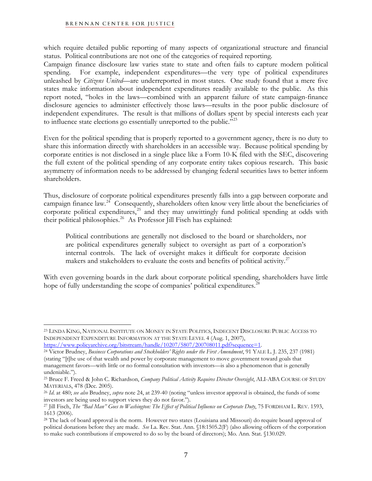$\overline{a}$ 

which require detailed public reporting of many aspects of organizational structure and financial status. Political contributions are not one of the categories of required reporting.

Campaign finance disclosure law varies state to state and often fails to capture modern political spending. For example, independent expenditures—the very type of political expenditures unleashed by *Citizens United*—are underreported in most states. One study found that a mere five states make information about independent expenditures readily available to the public. As this report noted, "holes in the laws—combined with an apparent failure of state campaign-finance disclosure agencies to administer effectively those laws—results in the poor public disclosure of independent expenditures. The result is that millions of dollars spent by special interests each year to influence state elections go essentially unreported to the public."<sup>[23](#page-6-0)</sup>

Even for the political spending that is properly reported to a government agency, there is no duty to share this information directly with shareholders in an accessible way. Because political spending by corporate entities is not disclosed in a single place like a Form 10-K filed with the SEC, discovering the full extent of the political spending of any corporate entity takes copious research. This basic asymmetry of information needs to be addressed by changing federal securities laws to better inform shareholders.

Thus, disclosure of corporate political expenditures presently falls into a gap between corporate and campaign finance law.<sup>[24](#page-6-1)</sup> Consequently, shareholders often know very little about the beneficiaries of corporate political expenditures, $25$  and they may unwittingly fund political spending at odds with their political philosophies.<sup>[26](#page-6-3)</sup> As Professor Jill Fisch has explained:

Political contributions are generally not disclosed to the board or shareholders, nor are political expenditures generally subject to oversight as part of a corporation's internal controls. The lack of oversight makes it difficult for corporate decision makers and stakeholders to evaluate the costs and benefits of political activity.<sup>[27](#page-6-4)</sup>

With even governing boards in the dark about corporate political spending, shareholders have little hope of fully understanding the scope of companies' political expenditures.<sup>2</sup>

<span id="page-6-0"></span><sup>23</sup> LINDA KING, NATIONAL INSTITUTE ON MONEY IN STATE POLITICS, INDECENT DISCLOSURE PUBLIC ACCESS TO INDEPENDENT EXPENDITURE INFORMATION AT THE STATE LEVEL 4 (Aug. 1, 2007),<br>https://www.policyarchive.org/bitstream/handle/10207/5807/200708011.pdf?sequence=1.

<span id="page-6-1"></span><sup>&</sup>lt;sup>24</sup> Victor Brudney, *Business Corporations and Stockholders' Rights under the First Amendment*, 91 YALE L. J. 235, 237 (1981) (stating "[t]he use of that wealth and power by corporate management to move government toward goals that management favors—with little or no formal consultation with investors—is also a phenomenon that is generally undeniable.").

<span id="page-6-2"></span><sup>25</sup> Bruce F. Freed & John C. Richardson, *Company Political Activity Requires Director Oversight*, ALI-ABA COURSE OF STUDY

<span id="page-6-3"></span>MATERIALS, 478 (Dec. 2005).<br><sup>26</sup> *Id.* at 480; *see also* Brudney, *supra* note 24, at 239-40 (noting "unless investor approval is obtained, the funds of some investors are being used to support views they do not favor.").

<span id="page-6-4"></span><sup>27</sup> Jill Fisch, *The "Bad Man" Goes to Washington: The Effect of Political Influence on Corporate Duty*, 75 FORDHAM L. REV. 1593, 1613 (2006).

<span id="page-6-5"></span><sup>28</sup> The lack of board approval is the norm. However two states (Louisiana and Missouri) do require board approval of political donations before they are made. *See* La. Rev. Stat. Ann. §18:1505.2(F) (also allowing officers of the corporation to make such contributions if empowered to do so by the board of directors); Mo. Ann. Stat. §130.029.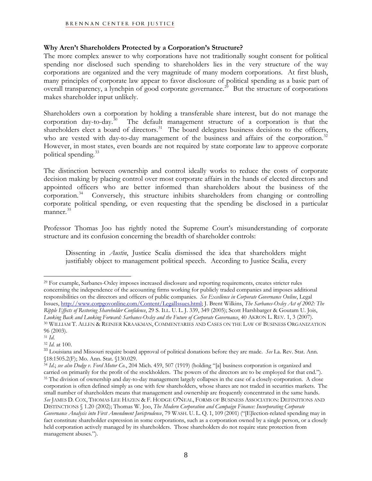## **Why Aren't Shareholders Protected by a Corporation's Structure?**

The more complex answer to why corporations have not traditionally sought consent for political spending nor disclosed such spending to shareholders lies in the very structure of the way corporations are organized and the very magnitude of many modern corporations. At first blush, many principles of corporate law appear to favor disclosure of political spending as a basic part of overall transparency, a lynchpin of good corporate governance.<sup>[29](#page-7-0)</sup> But the structure of corporations makes shareholder input unlikely.

Shareholders own a corporation by holding a transferable share interest, but do not manage the corporation day-to-day.<sup>[30](#page-7-1)</sup> The default management structure of a corporation is that the shareholders elect a board of directors.<sup>[31](#page-7-2)</sup> The board delegates business decisions to the officers, who are vested with day-to-day management of the business and affairs of the corporation.<sup>32</sup> However, in most states, even boards are not required by state corporate law to approve corporate political spending. $^{33}$ 

The distinction between ownership and control ideally works to reduce the costs of corporate decision making by placing control over most corporate affairs in the hands of elected directors and appointed officers who are better informed than shareholders about the business of the corporation.<sup>34</sup> Conversely, this structure inhibits shareholders from changing or controlling corporate political spending, or even requesting that the spending be disclosed in a particular manner.<sup>[35](#page-7-5)</sup>

Professor Thomas Joo has rightly noted the Supreme Court's misunderstanding of corporate structure and its confusion concerning the breadth of shareholder controls:

Dissenting in *Austin*, Justice Scalia dismissed the idea that shareholders might justifiably object to management political speech. According to Justice Scalia, every

<u>.</u>

<span id="page-7-0"></span><sup>29</sup> For example, Sarbanes-Oxley imposes increased disclosure and reporting requirements, creates stricter rules concerning the independence of the accounting firms working for publicly traded companies and imposes additional responsibilities on the directors and officers of public companies. *See Excellence in Corporate Governance Online*, Legal Issues,<http://www.corpgovonline.com/Content/LegalIssues.html>; J. Brent Wilkins, *The Sarbanes-Oxley Act of 2002: The Ripple Effects of Restoring Shareholder Confidence*, 29 S. ILL. U. L. J. 339, 349 (2005); Scott Harshbarger & Goutam U. Jois, *Looking Back and Looking Forward: Sarbanes-Oxley and the Future of Corporate Governance*, 40 AKRON L. REV. 1, 3 (2007). 30 WILLIAM T. ALLEN & REINIER KRAAKMAN, COMMENTARIES AND CASES ON THE LAW OF BUSINESS ORGANIZATION 96 (2003).<br><sup>31</sup> *Id*.

<span id="page-7-2"></span><span id="page-7-1"></span>

<span id="page-7-3"></span><sup>31</sup> *Id*. 32 *Id*. at 100. <sup>33</sup> Louisiana and Missouri require board approval of political donations before they are made. *See* La. Rev. Stat. Ann. §18:1505.2(F); Mo. Ann. Stat. §130.029.

<span id="page-7-5"></span><span id="page-7-4"></span><sup>34</sup> *Id*.; *see also Dodge v. Ford Motor Co.*, 204 Mich. 459, 507 (1919) (holding "[a] business corporation is organized and carried on primarily for the profit of the stockholders. The powers of the directors are to be employed for that end.").<br><sup>35</sup> The division of ownership and day-to-day management largely collapses in the case of a closely-c corporation is often defined simply as one with few shareholders, whose shares are not traded in securities markets. The small number of shareholders means that management and ownership are frequently concentrated in the same hands. *See* JAMES D. COX, THOMAS LEE HAZEN & F. HODGE O'NEAL, FORMS OF BUSINESS ASSOCIATION: DEFINITIONS AND DISTINCTIONS § 1.20 (2002); Thomas W. Joo, *The Modern Corporation and Campaign Finance: Incorporating Corporate Governance Analysis into First Amendment Jurisprudence*, 79 WASH. U. L. Q. 1, 109 (2001) ("[E]lection-related spending may in fact constitute shareholder expression in some corporations, such as a corporation owned by a single person, or a closely held corporation actively managed by its shareholders. Those shareholders do not require state protection from management abuses.").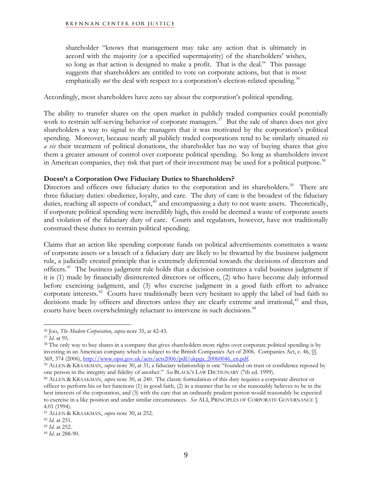shareholder "knows that management may take any action that is ultimately in accord with the majority (or a specified supermajority) of the shareholders' wishes, so long as that action is designed to make a profit. That is the deal." This passage suggests that shareholders are entitled to vote on corporate actions, but that is most emphatically *not* the deal with respect to a corporation's election-related spending.<sup>[36](#page-8-0)</sup>

Accordingly, most shareholders have zero say about the corporation's political spending.

The ability to transfer shares on the open market in publicly traded companies could potentially work to restrain self-serving behavior of corporate managers.<sup>[37](#page-8-1)</sup> But the sale of shares does not give shareholders a way to signal to the managers that it was motivated by the corporation's political spending. Moreover, because nearly all publicly traded corporations tend to be similarly situated *vis a vis* their treatment of political donations, the shareholder has no way of buying shares that give them a greater amount of control over corporate political spending. So long as shareholders invest in American companies, they risk that part of their investment may be used for a political purpose.<sup>[38](#page-8-2)</sup>

## **Doesn't a Corporation Owe Fiduciary Duties to Shareholders?**

Directors and officers owe fiduciary duties to the corporation and its shareholders.<sup>[39](#page-8-3)</sup> There are three fiduciary duties: obedience, loyalty, and care. The duty of care is the broadest of the fiduciary duties, reaching all aspects of conduct, $40$  and encompassing a duty to not waste assets. Theoretically, if corporate political spending were incredibly high, this could be deemed a waste of corporate assets and violation of the fiduciary duty of care. Courts and regulators, however, have not traditionally construed these duties to restrain political spending.

Claims that an action like spending corporate funds on political advertisements constitutes a waste of corporate assets or a breach of a fiduciary duty are likely to be thwarted by the business judgment rule, a judicially created principle that is extremely deferential towards the decisions of directors and officers.[41](#page-8-5) The business judgment rule holds that a decision constitutes a valid business judgment if it is (1) made by financially disinterested directors or officers, (2) who have become duly informed before exercising judgment, and (3) who exercise judgment in a good faith effort to advance corporate interests.<sup>[42](#page-8-6)</sup> Courts have traditionally been very hesitant to apply the label of bad faith to decisions made by officers and directors unless they are clearly extreme and irrational,<sup>[43](#page-8-7)</sup> and thus, courts have been overwhelmingly reluctant to intervene in such decisions.<sup>[44](#page-8-8)</sup>

<span id="page-8-0"></span><sup>36</sup> Joo, *The Modern Corporation*, *supra* note 35, at 42-43.

<span id="page-8-2"></span><span id="page-8-1"></span><sup>&</sup>lt;sup>38</sup> The only way to buy shares in a company that gives shareholders more rights over corporate political spending is by investing in an American company which is subject to the British Companies Act of 2006. Companies Act, c. 46,  $\$\$ 369, 374 (2006), http://www.opsi.gov.uk/acts/acts2006/pdf/ukpga 20060046 en.pdf.

<span id="page-8-3"></span><sup>&</sup>lt;sup>39</sup> ALLEN & KRAAKMAN, *supra* note 30, at 31; a fiduciary relationship is one "founded on trust or confidence reposed by one person in the integrity and fidelity of another." *See* BLACK'S LAW DICTIONARY (7th ed. 1999). 40 ALLEN & KRAAKMAN, *supra* note 30, at 240. The classic formulation of this duty requires a corporate director or

<span id="page-8-4"></span>officer to perform his or her functions (1) in good faith, (2) in a manner that he or she reasonably believes to be in the best interests of the corporation, and (3) with the care that an ordinarily prudent person would reasonably be expected to exercise in a like position and under similar circumstances. *See* ALI, PRINCIPLES OF CORPORATE GOVERNANCE § 4.01 (1994).

<span id="page-8-5"></span><sup>41</sup> ALLEN & KRAAKMAN, *supra* note 30, at 252. 42 *Id*. at 251. 43 *Id*. at 252. 44 *Id*. at 288-90.

<span id="page-8-6"></span>

<span id="page-8-7"></span>

<span id="page-8-8"></span>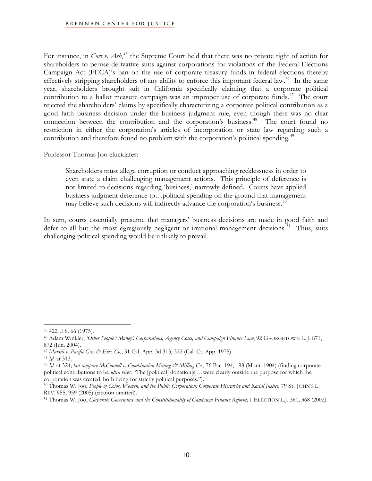For instance, in *Cort v. Ash*,<sup>[45](#page-9-0)</sup> the Supreme Court held that there was no private right of action for shareholders to peruse derivative suits against corporations for violations of the Federal Elections Campaign Act (FECA)'s ban on the use of corporate treasury funds in federal elections thereby effectively stripping shareholders of any ability to enforce this important federal law.<sup>[46](#page-9-1)</sup> In the same year, shareholders brought suit in California specifically claiming that a corporate political contribution to a ballot measure campaign was an improper use of corporate funds.<sup> $47$ </sup> The court rejected the shareholders' claims by specifically characterizing a corporate political contribution as a good faith business decision under the business judgment rule, even though there was no clear connection between the contribution and the corporation's business.<sup>[48](#page-9-3)</sup> The court found no restriction in either the corporation's articles of incorporation or state law regarding such a contribution and therefore found no problem with the corporation's political spending.<sup>[49](#page-9-4)</sup>

Professor Thomas Joo elucidates:

Shareholders must allege corruption or conduct approaching recklessness in order to even state a claim challenging management actions. This principle of deference is not limited to decisions regarding 'business,' narrowly defined. Courts have applied business judgment deference to…political spending on the ground that management may believe such decisions will indirectly advance the corporation's business.<sup>[50](#page-9-5)</sup>

In sum, courts essentially presume that managers' business decisions are made in good faith and defer to all but the most egregiously negligent or irrational management decisions.<sup>[51](#page-9-6)</sup> Thus, suits challenging political spending would be unlikely to prevail.

<span id="page-9-0"></span><sup>1</sup> 45 422 U.S. 66 (1975).

<span id="page-9-1"></span><sup>46</sup> Adam Winkler, *'Other People's Money': Corporations, Agency Costs, and Campaign Finance Law*, 92 GEORGETOWN L. J. 871, 872 (Jun. 2004).

<span id="page-9-4"></span><span id="page-9-3"></span>

<span id="page-9-2"></span><sup>&</sup>lt;sup>47</sup> Marsili v. Pacific Gas & Elec. Co., 51 Cal. App. 3d 313, 322 (Cal. Ct. App. 1975).<br><sup>48</sup> Id. at 313.<br><sup>49</sup> Id. at 324; but compare McConnell v. Combination Mining & Milling Co., 76 Pac. 194, 198 (Mont. 1904) (finding co political contributions to be *ultra vires*: "The [political] donation[s]…were clearly outside the purpose for which the corporation was created, both being for strictly political purposes.").<br><sup>50</sup> Thomas W. Joo, *People of Color, Women, and the Public Corporation: Corporate Hierarchy and Racial Justice, 79 ST. JOHN'S L.* 

<span id="page-9-5"></span>

<span id="page-9-6"></span>REV. 955, 959 (2005) (citation omitted).<br><sup>51</sup> Thomas W. Joo, *Corporate Governance and the Constitutionality of Campaign Finance Reform*, 1 ELECTION L.J. 361, 368 (2002).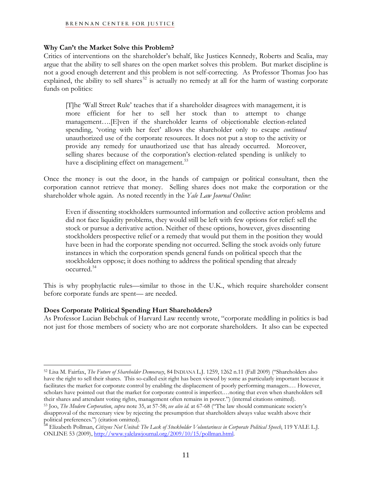## **Why Can't the Market Solve this Problem?**

Critics of interventions on the shareholder's behalf, like Justices Kennedy, Roberts and Scalia, may argue that the ability to sell shares on the open market solves this problem. But market discipline is not a good enough deterrent and this problem is not self-correcting. As Professor Thomas Joo has explained, the ability to sell shares<sup>[52](#page-10-0)</sup> is actually no remedy at all for the harm of wasting corporate funds on politics:

[T]he 'Wall Street Rule' teaches that if a shareholder disagrees with management, it is more efficient for her to sell her stock than to attempt to change management….[E]ven if the shareholder learns of objectionable election-related spending, 'voting with her feet' allows the shareholder only to escape *continued*  unauthorized use of the corporate resources. It does not put a stop to the activity or provide any remedy for unauthorized use that has already occurred. Moreover, selling shares because of the corporation's election-related spending is unlikely to have a disciplining effect on management.<sup>[53](#page-10-1)</sup>

Once the money is out the door, in the hands of campaign or political consultant, then the corporation cannot retrieve that money. Selling shares does not make the corporation or the shareholder whole again. As noted recently in the *Yale Law Journal Online*:

Even if dissenting stockholders surmounted information and collective action problems and did not face liquidity problems, they would still be left with few options for relief: sell the stock or pursue a derivative action. Neither of these options, however, gives dissenting stockholders prospective relief or a remedy that would put them in the position they would have been in had the corporate spending not occurred. Selling the stock avoids only future instances in which the corporation spends general funds on political speech that the stockholders oppose; it does nothing to address the political spending that already occurred.[54](#page-10-2)

This is why prophylactic rules—similar to those in the U.K., which require shareholder consent before corporate funds are spent— are needed.

## **Does Corporate Political Spending Hurt Shareholders?**

 $\overline{a}$ 

As Professor Lucian Bebchuk of Harvard Law recently wrote, "corporate meddling in politics is bad not just for those members of society who are not corporate shareholders. It also can be expected

<span id="page-10-0"></span><sup>52</sup> Lisa M. Fairfax, *The Future of Shareholder Democracy*, 84 INDIANA L.J. 1259, 1262 n.11 (Fall 2009) ("Shareholders also have the right to sell their shares. This so-called exit right has been viewed by some as particularly important because it facilitates the market for corporate control by enabling the displacement of poorly performing managers.… However, scholars have pointed out that the market for corporate control is imperfect.…noting that even when shareholders sell their shares and attendant voting rights, management often remains in power.") (internal citations omitted).<br><sup>53</sup> Joo, *The Modern Corporation, supra* note 35, at 57-58; *see also id.* at 67-68 ("The law should communicate

<span id="page-10-1"></span>disapproval of the mercenary view by rejecting the presumption that shareholders always value wealth above their

<span id="page-10-2"></span>political preferences.") (citation omitted). <sup>54</sup> Elizabeth Pollman, *Citizens Not United: The Lack of Stockholder Voluntariness in Corporate Political Speech*, 119 YALE L.J. ONLINE 53 (2009), <http://www.yalelawjournal.org/2009/10/15/pollman.html>.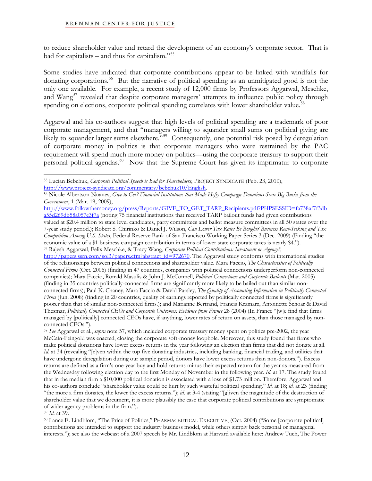to reduce shareholder value and retard the development of an economy's corporate sector. That is bad for capitalists – and thus for capitalism. $155$ 

Some studies have indicated that corporate contributions appear to be linked with windfalls for donating corporations.<sup>[56](#page-11-1)</sup> But the narrative of political spending as an unmitigated good is not the only one available. For example, a recent study of 12,000 firms by Professors Aggarwal, Meschke, and Wang<sup>[57](#page-11-2)</sup> revealed that despite corporate managers' attempts to influence public policy through spending on elections, corporate political spending correlates with lower shareholder value.<sup>[58](#page-11-3)</sup>

Aggarwal and his co-authors suggest that high levels of political spending are a trademark of poor corporate management, and that "managers willing to squander small sums on political giving are likely to squander larger sums elsewhere."<sup>59</sup> Consequently, one potential risk posed by deregulation of corporate money in politics is that corporate managers who were restrained by the PAC requirement will spend much more money on politics—using the corporate treasury to support their personal political agendas.<sup>[60](#page-11-5)</sup> Now that the Supreme Court has given its imprimatur to corporate

<span id="page-11-5"></span><span id="page-11-4"></span><sup>59</sup> *Id.* at 39.<br><sup>60</sup> Lance E. Lindblom, "The Price of Politics," PHARMACEUTICAL EXECUTIVE, (Oct. 2004) ("Some [corporate political] contributions are intended to support the industry business model, while others simply back personal or managerial interests."); see also the webcast of a 2007 speech by Mr. Lindblom at Harvard available here: Andrew Tuch, The Power

<sup>1</sup> 55 Lucian Bebchuk, *Corporate Political Speech is Bad for Shareholders*, PROJECT SYNDICATE (Feb. 23, 2010),

<span id="page-11-1"></span><span id="page-11-0"></span>[http://www.project-syndicate.org/commentary/bebchuk10/English.](http://www.project-syndicate.org/commentary/bebchuk10/English) 56 Nicole Albertson-Nuanes, *Give to Get? Financial Institutions that Made Hefty Campaign Donations Score Big Bucks from the Government*, 1 (Mar. 19, 2009),

<span id="page-11-2"></span>[http://www.followthemoney.org/press/Reports/GIVE\\_TO\\_GET\\_TARP\\_Recipients.pdf?PHPSESSID=fa738af7f3db](http://www.followthemoney.org/press/Reports/GIVE_TO_GET_TARP_Recipients.pdf?PHPSESSID=fa738af7f3dba55d269db58a057e3f7a) [a55d269db58a057e3f7a](http://www.followthemoney.org/press/Reports/GIVE_TO_GET_TARP_Recipients.pdf?PHPSESSID=fa738af7f3dba55d269db58a057e3f7a) (noting 75 financial institutions that received TARP bailout funds had given contributions valued at \$20.4 million to state level candidates, party committees and ballot measure committees in all 50 states over the 7-year study period.); Robert S. Chirinko & Daniel J. Wilson, *Can Lower Tax Rates Be Bought? Business Rent-Seeking and Tax Competition Among U.S. States*, Federal Reserve Bank of San Francisco Working Paper Series 3 (Dec. 2009) (Finding "the economic value of a \$1 business campaign contribution in terms of lower state corporate taxes is nearly \$4."). 57 Rajesh Aggarwal, Felix Meschke, & Tracy Wang, *Corporate Political Contributions: Investment or Agency?*, [http://papers.ssrn.com/sol3/papers.cfm?abstract\\_id=972670](http://papers.ssrn.com/sol3/papers.cfm?abstract_id=972670). The Aggarwal study conforms with international studies of the relationships between political connections and shareholder value. Mara Faccio, *The Characteristics of Politically Connected Firms* (Oct. 2006) (finding in 47 countries, companies with political connections underperform non-connected companies); Mara Faccio, Ronald Masulis & John J. McConnell, *Political Connections and Corporate Bailouts* (Mar. 2005) (finding in 35 countries politically-connected firms are significantly more likely to be bailed out than similar nonconnected firms); Paul K. Chaney, Mara Faccio & David Parsley, *The Quality of Accounting Information in Politically Connected Firms* (Jun. 2008) (finding in 20 countries, quality of earnings reported by politically connected firms is significantly poorer than that of similar non-connected firms.); and Marianne Bertrand, Francis Kramarz, Antoinette Schoar & David Thesmar, *Politically Connected CEOs and Corporate Outcomes: Evidence from France* 28 (2004) (In France "[w]e find that firms managed by [politically] connected CEOs have, if anything, lower rates of return on assets, than those managed by nonconnected CEOs.").

<span id="page-11-3"></span><sup>58</sup> *See* Aggarwal et al., *supra* note 57, which included corporate treasury money spent on politics pre-2002, the year McCain-Feingold was enacted, closing the corporate soft-money loophole. Moreover, this study found that firms who make political donations have lower excess returns in the year following an election than firms that did not donate at all. *Id.* at 34 (revealing "[e]ven within the top five donating industries, including banking, financial trading, and utilities that have undergone deregulation during our sample period, donors have lower excess returns than non-donors."). Excess returns are defined as a firm's one-year buy and hold returns minus their expected return for the year as measured from the Wednesday following election day to the first Monday of November in the following year. *Id*. at 17. The study found that in the median firm a \$10,000 political donation is associated with a loss of \$1.73 million. Therefore, Aggarwal and his co-authors conclude "shareholder value could be hurt by such wasteful political spending." *Id*. at 18; *id*. at 23 (finding "the more a firm donates, the lower the excess returns."); *id*. at 3-4 (stating "[g]iven the magnitude of the destruction of shareholder value that we document, it is more plausibly the case that corporate political contributions are symptomatic of wider agency problems in the firm.").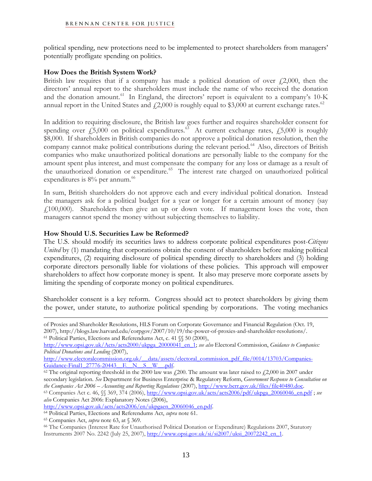political spending, new protections need to be implemented to protect shareholders from managers' potentially profligate spending on politics.

## **How Does the British System Work?**

British law requires that if a company has made a political donation of over  $f(2,000)$ , then the directors' annual report to the shareholders must include the name of who received the donation and the donation amount.<sup>[61](#page-12-0)</sup> In England, the directors' report is equivalent to a company's  $10\text{-K}$ annual report in the United States and  $\ell$ , 2,000 is roughly equal to \$3,000 at current exchange rates.<sup>[62](#page-12-1)</sup>

In addition to requiring disclosure, the British law goes further and requires shareholder consent for spending over  $\text{\emph{f}}_5,000$  on political expenditures.<sup>[63](#page-12-2)</sup> At current exchange rates,  $\text{\emph{f}}_5,000$  is roughly \$8,000. If shareholders in British companies do not approve a political donation resolution, then the company cannot make political contributions during the relevant period.<sup>[64](#page-12-3)</sup> Also, directors of British companies who make unauthorized political donations are personally liable to the company for the amount spent plus interest, and must compensate the company for any loss or damage as a result of the unauthorized donation or expenditure.<sup>[65](#page-12-4)</sup> The interest rate charged on unauthorized political expenditures is 8% per annum.<sup>[66](#page-12-5)</sup>

In sum, British shareholders do not approve each and every individual political donation. Instead the managers ask for a political budget for a year or longer for a certain amount of money (say £100,000). Shareholders then give an up or down vote. If management loses the vote, then managers cannot spend the money without subjecting themselves to liability.

## **How Should U.S. Securities Law be Reformed?**

The U.S. should modify its securities laws to address corporate political expenditures post-*Citizens United* by (1) mandating that corporations obtain the consent of shareholders before making political expenditures, (2) requiring disclosure of political spending directly to shareholders and (3) holding corporate directors personally liable for violations of these policies. This approach will empower shareholders to affect how corporate money is spent. It also may preserve more corporate assets by limiting the spending of corporate money on political expenditures.

Shareholder consent is a key reform. Congress should act to protect shareholders by giving them the power, under statute, to authorize political spending by corporations. The voting mechanics

<span id="page-12-1"></span> $^{62}$  The original reporting threshold in the 2000 law was  $\angle$  4200. The amount was later raised to  $\angle$  42,000 in 2007 under secondary legislation. *See* Department for Business Enterprise & Regulatory Reform, *Government Response to Consultation on*  the Companies Act 2006 – Accounting and Reporting Regulations (2007), [http://www.berr.gov.uk/files/file40480.doc.](http://www.berr.gov.uk/files/file40480.doc)<br><sup>63</sup> Companies Act c. 46, §§ 369, 374 (2006), [http://www.opsi.gov.uk/acts/acts2006/pdf/ukpga\\_20060046\\_en.pdf](http://www.opsi.gov.uk/acts/acts2006/pdf/ukpga_20060046_en.pdf)

1

of Proxies and Shareholder Resolutions, HLS Forum on Corporate Governance and Financial Regulation (Oct. 19, 2007), http://blogs.law.harvard.edu/corpgov/2007/10/19/the-power-of-proxies-and-shareholder-resolutions/. 61 Political Parties, Elections and Referendums Act, c. 41 §§ 50 (2000),

<span id="page-12-0"></span>[http://www.opsi.gov.uk/Acts/acts2000/ukpga\\_20000041\\_en\\_1;](http://www.opsi.gov.uk/Acts/acts2000/ukpga_20000041_en_1) *see also* Electoral Commission, *Guidance to Companies: Political Donations and Lending* (2007),

http://www.electoralcommission.org.uk/\_\_data/assets/electoral\_commission\_pdf\_file/0014/13703/Companies-<br>Guidance-Final1\_27776-20443 E\_N\_S\_W\_\_.pdf.

<span id="page-12-2"></span>*also* Companies Act 2006: Explanatory Notes (2006),<br>http://www.opsi.gov.uk/acts/acts2006/en/ukpgaen\_20060046\_en.pdf.

<span id="page-12-4"></span><span id="page-12-3"></span><sup>&</sup>lt;sup>64</sup> Political Parties, Elections and Referendums Act, *supra* note 61.<br><sup>65</sup> Companies Act, *supra* note 63, at § 369.

<span id="page-12-5"></span><sup>66</sup> The Companies (Interest Rate for Unauthorised Political Donation or Expenditure) Regulations 2007, Statutory Instruments 2007 No. 2242 (July 25, 2007), [http://www.opsi.gov.uk/si/si2007/uksi\\_20072242\\_en\\_1](http://www.opsi.gov.uk/si/si2007/uksi_20072242_en_1).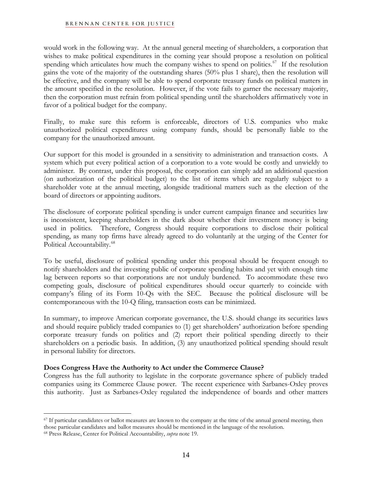would work in the following way. At the annual general meeting of shareholders, a corporation that wishes to make political expenditures in the coming year should propose a resolution on political spending which articulates how much the company wishes to spend on politics.<sup>[67](#page-13-0)</sup> If the resolution gains the vote of the majority of the outstanding shares (50% plus 1 share), then the resolution will be effective, and the company will be able to spend corporate treasury funds on political matters in the amount specified in the resolution. However, if the vote fails to garner the necessary majority, then the corporation must refrain from political spending until the shareholders affirmatively vote in favor of a political budget for the company.

Finally, to make sure this reform is enforceable, directors of U.S. companies who make unauthorized political expenditures using company funds, should be personally liable to the company for the unauthorized amount.

Our support for this model is grounded in a sensitivity to administration and transaction costs. A system which put every political action of a corporation to a vote would be costly and unwieldy to administer. By contrast, under this proposal, the corporation can simply add an additional question (on authorization of the political budget) to the list of items which are regularly subject to a shareholder vote at the annual meeting, alongside traditional matters such as the election of the board of directors or appointing auditors.

The disclosure of corporate political spending is under current campaign finance and securities law is inconsistent, keeping shareholders in the dark about whether their investment money is being used in politics. Therefore, Congress should require corporations to disclose their political spending, as many top firms have already agreed to do voluntarily at the urging of the Center for Political Accountability.<sup>[68](#page-13-1)</sup>

To be useful, disclosure of political spending under this proposal should be frequent enough to notify shareholders and the investing public of corporate spending habits and yet with enough time lag between reports so that corporations are not unduly burdened. To accommodate these two competing goals, disclosure of political expenditures should occur quarterly to coincide with company's filing of its Form 10-Qs with the SEC. Because the political disclosure will be contemporaneous with the 10-Q filing, transaction costs can be minimized.

In summary, to improve American corporate governance, the U.S. should change its securities laws and should require publicly traded companies to (1) get shareholders' authorization before spending corporate treasury funds on politics and (2) report their political spending directly to their shareholders on a periodic basis. In addition, (3) any unauthorized political spending should result in personal liability for directors.

## **Does Congress Have the Authority to Act under the Commerce Clause?**

Congress has the full authority to legislate in the corporate governance sphere of publicly traded companies using its Commerce Clause power. The recent experience with Sarbanes-Oxley proves this authority. Just as Sarbanes-Oxley regulated the independence of boards and other matters

<span id="page-13-0"></span> $\overline{a}$  $67$  If particular candidates or ballot measures are known to the company at the time of the annual general meeting, then those particular candidates and ballot measures should be mentioned in the language of the resolution. 68 Press Release, Center for Political Accountability, *supra* note 19.

<span id="page-13-1"></span>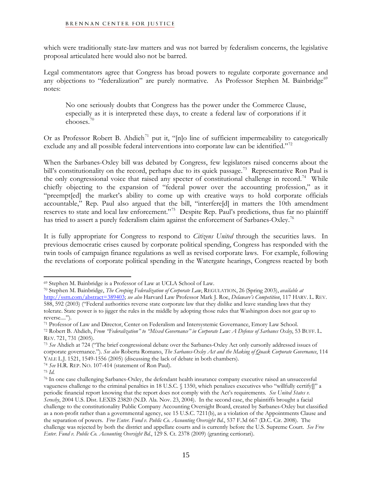which were traditionally state-law matters and was not barred by federalism concerns, the legislative proposal articulated here would also not be barred.

Legal commentators agree that Congress has broad powers to regulate corporate governance and any objections to "federalization" are purely normative. As Professor Stephen M. Bainbridge<sup>[69](#page-14-0)</sup> notes:

No one seriously doubts that Congress has the power under the Commerce Clause, especially as it is interpreted these days, to create a federal law of corporations if it chooses.[70](#page-14-1)

Or as Professor Robert B. Ahdieh<sup>[71](#page-14-2)</sup> put it, "[n]o line of sufficient impermeability to categorically exclude any and all possible federal interventions into corporate law can be identified."<sup>[72](#page-14-3)</sup>

When the Sarbanes-Oxley bill was debated by Congress, few legislators raised concerns about the bill's constitutionality on the record, perhaps due to its quick passage.<sup>[73](#page-14-4)</sup> Representative Ron Paul is the only congressional voice that raised any specter of constitutional challenge in record.<sup>[74](#page-14-5)</sup> While chiefly objecting to the expansion of "federal power over the accounting profession," as it "preempt[ed] the market's ability to come up with creative ways to hold corporate officials accountable," Rep. Paul also argued that the bill, "interfere[d] in matters the 10th amendment reserves to state and local law enforcement."[75](#page-14-6) Despite Rep. Paul's predictions, thus far no plaintiff has tried to assert a purely federalism claim against the enforcement of Sarbanes-Oxley.<sup>[76](#page-14-7)</sup>

It is fully appropriate for Congress to respond to *Citizens United* through the securities laws. In previous democratic crises caused by corporate political spending, Congress has responded with the twin tools of campaign finance regulations as well as revised corporate laws. For example, following the revelations of corporate political spending in the Watergate hearings, Congress reacted by both

<span id="page-14-1"></span><span id="page-14-0"></span><sup>69</sup> Stephen M. Bainbridge is a Professor of Law at UCLA School of Law. 70 Stephen M. Bainbridge, *The Creeping Federalization of Corporate Law*, REGULATION, <sup>26</sup> (Spring 2003), *available at*  <http://ssrn.com/abstract=389403>; *see also* Harvard Law Professor Mark J. Roe, *Delaware's Competition*, 117 HARV. L. REV. 588, 592 (2003) ("Federal authorities reverse state corporate law that they dislike and leave standing laws that they tolerate. State power is to jigger the rules in the middle by adopting those rules that Washington does not gear up to reverse....").<br><sup>71</sup> Professor of Law and Director, Center on Federalism and Intersystemic Governance, Emory Law School.

<span id="page-14-3"></span><span id="page-14-2"></span><sup>72</sup> Robert B. Ahdieh, From "Federalization" to "Mixed Governance" in Corporate Law: A Defense of Sarbanes Oxley, 53 BUFF. L. REV. 721, 731 (2005).<br><sup>73</sup> *See* Ahdieh at 724 ("The brief congressional debate over the Sarbanes-Oxley Act only cursorily addressed issues of

<span id="page-14-4"></span>corporate governance."). *See also* Roberta Romano, *The Sarbanes-Oxley Act and the Making of Quack Corporate Governance*, 114 YALE L.J. 1521, 1549-1556 (2005) (discussing the lack of debate in both chambers). 74 *See* H.R. REP. NO. 107-414 (statement of Ron Paul). 75 *Id.*

<span id="page-14-5"></span>

<span id="page-14-7"></span><span id="page-14-6"></span><sup>76</sup> In one case challenging Sarbanes-Oxley, the defendant health insurance company executive raised an unsuccessful vagueness challenge to the criminal penalties in 18 U.S.C. § 1350, which penalizes executives who "willfully certify[]" a periodic financial report knowing that the report does not comply with the Act's requirements*. See United States v. Scrushy*, 2004 U.S. Dist. LEXIS 23820 (N.D. Ala. Nov. 23, 2004). In the second case, the plaintiffs brought a facial challenge to the constitutionality Public Company Accounting Oversight Board, created by Sarbanes-Oxley but classified as a non-profit rather than a governmental agency, see 15 U.S.C. 7211(b), as a violation of the Appointments Clause and the separation of powers. *Free Enter. Fund v. Public Co. Accounting Oversight Bd.*, 537 F.3d 667 (D.C. Cir. 2008). The challenge was rejected by both the district and appellate courts and is currently before the U.S. Supreme Court. *See Free Enter. Fund v. Public Co. Accounting Oversight Bd.*, 129 S. Ct. 2378 (2009) (granting certiorari).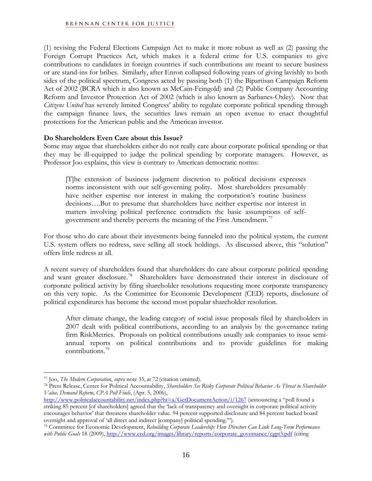(1) revising the Federal Elections Campaign Act to make it more robust as well as (2) passing the Foreign Corrupt Practices Act, which makes it a federal crime for U.S. companies to give contributions to candidates in foreign countries if such contributions are meant to secure business or are stand-ins for bribes. Similarly, after Enron collapsed following years of giving lavishly to both sides of the political spectrum, Congress acted by passing both (1) the Bipartisan Campaign Reform Act of 2002 (BCRA which is also known as McCain-Feingold) and (2) Public Company Accounting Reform and Investor Protection Act of 2002 (which is also known as Sarbanes-Oxley). Now that *Citizens United* has severely limited Congress' ability to regulate corporate political spending through the campaign finance laws, the securities laws remain an open avenue to enact thoughtful protections for the American public and the American investor.

## **Do Shareholders Even Care about this Issue?**

Some may argue that shareholders either do not really care about corporate political spending or that they may be ill-equipped to judge the political spending by corporate managers. However, as Professor Joo explains, this view is contrary to American democratic norms:

[T]he extension of business judgment discretion to political decisions expresses norms inconsistent with our self-governing polity. Most shareholders presumably have neither expertise nor interest in making the corporation's routine business decisions….But to presume that shareholders have neither expertise nor interest in matters involving political preference contradicts the basic assumptions of self-government and thereby perverts the meaning of the First Amendment.<sup>[77](#page-15-0)</sup>

For those who do care about their investments being funneled into the political system, the current U.S. system offers no redress, save selling all stock holdings. As discussed above, this "solution" offers little redress at all.

A recent survey of shareholders found that shareholders do care about corporate political spending and want greater disclosure.<sup>[78](#page-15-1)</sup> Shareholders have demonstrated their interest in disclosure of corporate political activity by filing shareholder resolutions requesting more corporate transparency on this very topic. As the Committee for Economic Development (CED) reports, disclosure of political expenditures has become the second most popular shareholder resolution.

After climate change, the leading category of social issue proposals filed by shareholders in 2007 dealt with political contributions, according to an analysis by the governance rating firm RiskMetrics. Proposals on political contributions usually ask companies to issue semiannual reports on political contributions and to provide guidelines for making contributions.[79](#page-15-2)

<span id="page-15-1"></span><span id="page-15-0"></span><sup>&</sup>lt;sup>77</sup> Joo, *The Modern Corporation*, *supra* note 35, at 72 (citation omitted).<br><sup>78</sup> Press Release, Center for Political Accountability, *Shareholders See Risky Corporate Political Behavior As Threat to Shareholder Value, Demand Reform, CPA Poll Finds*, (Apr. 5, 2006),

<http://www.politicalaccountability.net/index.php?ht=a/GetDocumentAction/i/1267>(announcing a "poll found a striking 85 percent [of shareholders] agreed that the 'lack of transparency and oversight in corporate political activity encourages behavior' that threatens shareholder value. 94 percent supported disclosure and 84 percent backed board

<span id="page-15-2"></span>oversight and approval of 'all direct and indirect [company] political spending.'"). 79 Committee for Economic Development, *Rebuilding Corporate Leadership: How Directors Can Link Long-Term Performance*  with Public Goals 18 (2009), [http://www.ced.org/images/library/reports/corporate\\_governance/cgpt3.pdf](http://www.ced.org/images/library/reports/corporate_governance/cgpt3.pdf) (citing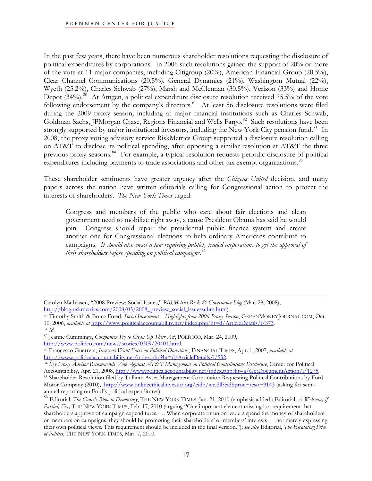In the past few years, there have been numerous shareholder resolutions requesting the disclosure of political expenditures by corporations. In 2006 such resolutions gained the support of 20% or more of the vote at 11 major companies, including Citigroup (20%), American Financial Group (20.5%), Clear Channel Communications (20.5%), General Dynamics (21%), Washington Mutual (22%), Wyeth (25.2%), Charles Schwab (27%), Marsh and McClennan (30.5%), Verizon (33%) and Home Depot  $(34\%)$ .<sup>[80](#page-16-0)</sup> At Amgen, a political expenditure disclosure resolution received 75.5% of the vote following endorsement by the company's directors.<sup>[81](#page-16-1)</sup> At least 56 disclosure resolutions were filed during the 2009 proxy season, including at major financial institutions such as Charles Schwab, Goldman Sachs, JPMorgan Chase, Regions Financial and Wells Fargo.<sup>[82](#page-16-2)</sup> Such resolutions have been strongly supported by major institutional investors, including the New York City pension fund.<sup>[83](#page-16-3)</sup> In 2008, the proxy voting advisory service RiskMetrics Group supported a disclosure resolution calling on AT&T to disclose its political spending, after opposing a similar resolution at AT&T the three previous proxy seasons.<sup>[84](#page-16-4)</sup> For example, a typical resolution requests periodic disclosure of political expenditures including payments to trade associations and other tax exempt organizations.<sup>[85](#page-16-5)</sup>

These shareholder sentiments have greater urgency after the *Citizens United* decision, and many papers across the nation have written editorials calling for Congressional action to protect the interests of shareholders. *The New York Times* urged:

Congress and members of the public who care about fair elections and clean government need to mobilize right away, a cause President Obama has said he would join. Congress should repair the presidential public finance system and create another one for Congressional elections to help ordinary Americans contribute to campaigns. *It should also enact a law requiring publicly traded corporations to get the approval of their shareholders before spending on political campaigns.*[86](#page-16-6)

 $\overline{a}$ Carolyn Mathiasen, "2008 Preview: Social Issues," *RiskMetrics Risk & Governance Blog* (Mar. 28, 2008),

<span id="page-16-0"></span>[http://blog.riskmetrics.com/2008/03/2008\\_preview\\_social\\_issuessubm.html](http://blog.riskmetrics.com/2008/03/2008_preview_social_issuessubm.html)). 80 Timothy Smith & Bruce Freed, *Social Investment—Highlights from 2006 Proxy Season*, GREENMONEYJOURNAL.COM, Oct. 10, 2006, *available at* [http://www.politicalaccountability.net/index.php?ht=d/ArticleDetails/i/373.](http://www.politicalaccountability.net/index.php?ht=d/ArticleDetails/i/373) 81 *Id.*

<span id="page-16-2"></span><span id="page-16-1"></span>

<sup>82</sup> Jeanne Cummings, *Companies Try to Clean Up Their Act*, POLITICO, Mar. 24, 2009,

<span id="page-16-3"></span>[http://www.politico.com/news/stories/0309/20401.html.](http://www.politico.com/news/stories/0309/20401.html) 83 Francesco Guerrera, *Investors Want Facts on Political Donations*, FINANCIAL TIMES, Apr. 1, 2007, *available at*  <http://www.politicalaccountability.net/index.php?ht=d/ArticleDetails/i/532>*.* 

<span id="page-16-5"></span><span id="page-16-4"></span><sup>84</sup> *Key Proxy Advisor Recommends Vote Against AT&T Management on Political Contributions Disclosure*, Center for Political<br>Accountability, Apr. 21, 2008, http://www.politicalaccountability.net/index.php?ht=a/GetDocumentAct 85 Shareholder Resolution filed by Trillium Asset Management Corporation Requesting Political Contributions by Ford Motor Company (2010), [http://www.onlineethicalinvestor.org/eidb/wc.dll?eidbproc~reso~9143](http://www.onlineethicalinvestor.org/eidb/wc.dll?eidbproc%7Ereso%7E9143) (asking for semiannual reporting on Ford's political expenditures).

<span id="page-16-6"></span><sup>86</sup> Editorial, *The Court's Blow to Democracy*, THE NEW YORK TIMES, Jan. 21, 2010 (emphasis added); Editorial, *A Welcome, if Partial, Fix,* THE NEW YORK TIMES, Feb. 17, 2010 (arguing "One important element missing is a requirement that shareholders approve of campaign expenditures. … When corporate or union leaders spend the money of shareholders or members on campaigns, they should be promoting their shareholders' or members' interests — not merely expressing their own political views. This requirement should be included in the final version."); *see also* Editorial, *The Escalating Price of Politics*, THE NEW YORK TIMES, Mar. 7, 2010.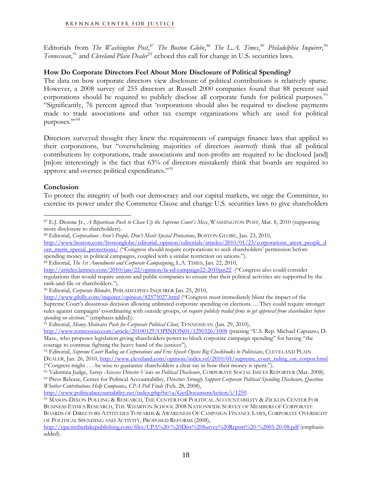Editorials from *The Washington Post*, [87](#page-17-0) *The Boston Globe*, [88](#page-17-1) *The L.A. Times*, [89](#page-17-2) *Philadelphia Inquirer*, [90](#page-17-3) Tennessean,<sup>[91](#page-17-4)</sup> and *Cleveland Plain Dealer*<sup>[92](#page-17-5)</sup> echoed this call for change in U.S. securities laws.

# **How Do Corporate Directors Feel About More Disclosure of Political Spending?**

The data on how corporate directors view disclosure of political contributions is relatively sparse. However, a 2008 survey of 255 directors at Russell 2000 companies found that 88 percent said corporations should be required to publicly disclose all corporate funds for political purposes.<sup>[93](#page-17-6)</sup> "Significantly, 76 percent agreed that 'corporations should also be required to disclose payments made to trade associations and other tax exempt organizations which are used for political purposes."<sup>[94](#page-17-7)</sup>

Directors surveyed thought they knew the requirements of campaign finance laws that applied to their corporations, but "overwhelming majorities of directors *incorrectly* think that all political contributions by corporations, trade associations and non-profits are required to be disclosed [and] [m]ore interestingly is the fact that 63% of directors mistakenly think that boards are required to approve and oversee political expenditures."[95](#page-17-8)

# **Conclusion**

To protect the integrity of both our democracy and our capital markets, we urge the Committee, to exercise its power under the Commerce Clause and change U.S. securities laws to give shareholders

<span id="page-17-1"></span>

[http://www.boston.com/bostonglobe/editorial\\_opinion/editorials/articles/2010/01/23/corporations\\_arent\\_people\\_d](http://www.boston.com/bostonglobe/editorial_opinion/editorials/articles/2010/01/23/corporations_arent_people_dont_merit_special_protections/) [ont\\_merit\\_special\\_protections/](http://www.boston.com/bostonglobe/editorial_opinion/editorials/articles/2010/01/23/corporations_arent_people_dont_merit_special_protections/) ("Congress should require corporations to seek shareholders' permission before

<span id="page-17-4"></span><sup>91</sup> Editorial, *Money Motivates Push for Corporate Political Clout*, TENNESSEAN (Jan. 29, 2010),

<http://www.tennessean.com/article/20100129/OPINION01/1290326/1008> (praising "U.S. Rep. Michael Capuano, D-Mass., who proposes legislation giving shareholders power to block corporate campaign spending" for having "the courage to continue fighting the heavy hand of the justices").

<span id="page-17-0"></span> $\overline{a}$ 87 E.J. Dionne Jr., *A Bipartisan Push to Clean Up the Supreme Court's Mess*, WASHINGTON POST, Mar. 8, 2010 (supporting more disclosure to shareholders).<br><sup>88</sup> Editorial, *Corporations Aren't People, Don't Merit Special Protections*, BOSTON GLOBE, Jan. 23, 2010,

spending money in political campaigns, coupled with a similar restriction on unions."). 89 Editorial, *The 1st Amendment and Corporate Campaigning*, L.A. TIMES, Jan. 22, 2010,

<span id="page-17-2"></span><http://articles.latimes.com/2010/jan/22/opinion/la-ed-campaign22-2010jan22> ("Congress also could consider regulations that would require unions and public companies to ensure that their political activities are supported by the rank-and-file or shareholders."). 90 Editorial, *Corporate Blunder*, PHILADELPHIA INQUIRER Jan. 25, 2010,

<span id="page-17-3"></span><http://www.philly.com/inquirer/opinion/82575027.html>("Congress must immediately blunt the impact of the Supreme Court's disastrous decision allowing unlimited corporate spending on elections…. They could require stronger rules against campaigns' coordinating with outside groups, or *require publicly traded firms to get approval from shareholders before* 

<span id="page-17-5"></span><sup>92</sup> Editorial, *Supreme Court Ruling on Corporations and Free Speech Opens Big Checkbooks to Politicians*, CLEVELAND PLAIN

DEALER, Jan. 26, 2010, <u>[http://www.cleveland.com/opinion/index.ssf/2010/01/supreme\\_court\\_ruling\\_on\\_corpor.html](http://www.cleveland.com/opinion/index.ssf/2010/01/supreme_court_ruling_on_corpor.html)</u><br>("Congress might . . . be wise to guarantee shareholders a clear say in how their money is spent.").

<span id="page-17-7"></span><span id="page-17-6"></span><sup>&</sup>lt;sup>93</sup> Valentina Judge, Survey Assesses Director Views on Political Disclosure, CORPORATE SOCIAL ISSUES REPORTER (Mar. 2008).<br><sup>94</sup> Press Release, Center for Political Accountability, Directors Strongly Support Corporate Poli *Whether Contributions Help Companies, CPA Poll Finds* (Feb. 28, 2008),

<span id="page-17-8"></span><sup>&</sup>lt;sup>95</sup> MASON-DIXON POLLING & RESEARCH, THE CENTER FOR POLITICAL ACCOUNTABILITY & ZICKLIN CENTER FOR BUSINESS ETHICS RESEARCH, THE WHARTON SCHOOL 2008 NATIONWIDE SURVEY OF MEMBERS OF CORPORATE BOARDS OF DIRECTORS ATTITUDES TOWARDS & AWARENESS OF CAMPAIGN FINANCE LAWS, CORPORATE OVERSIGHT OF POLITICAL SPENDING AND ACTIVITY, PROPOSED REFORMS (2008),

<http://cpa.timberlakepublishing.com/files/CPA%20-%20Dirs%20Survey%20Report%20-%2003-20-08.pdf>(emphasis added).